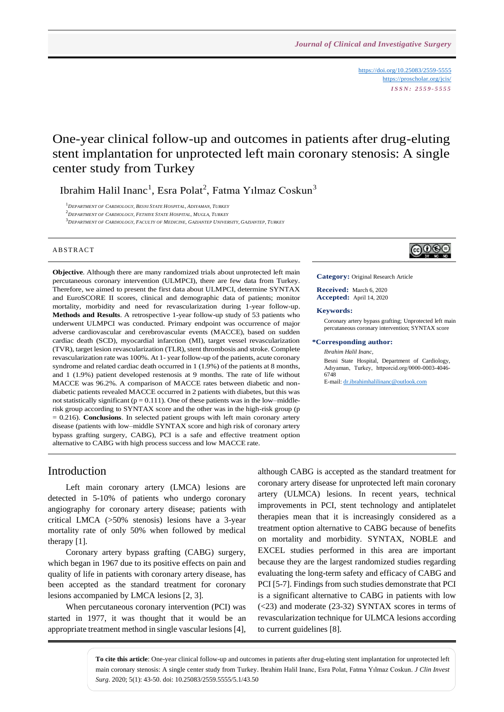<https://doi.org/10.25083/2559-5555> <https://proscholar.org/jcis/> *I S S N : 2 5 5 9 - 5 5 5 5*

# One-year clinical follow-up and outcomes in patients after drug-eluting stent implantation for unprotected left main coronary stenosis: A single center study from Turkey

Ibrahim Halil Inanc<sup>1</sup>, Esra Polat<sup>2</sup>, Fatma Yılmaz Coskun<sup>3</sup>

<sup>1</sup>*DEPARTMENT OF CARDIOLOGY, BESNI STATE HOSPITAL, ADIYAMAN, TURKEY* <sup>2</sup>*DEPARTMENT OF CARDIOLOGY, FETHIYE STATE HOSPITAL, MUGLA, TURKEY* <sup>3</sup>DEPARTMENT OF CARDIOLOGY, FACULTY OF MEDICINE, GAZIANTEP UNIVERSITY, GAZIANTEP, TURKEY

#### **ABSTRACT**

**Objective**. Although there are many randomized trials about unprotected left main percutaneous coronary intervention (ULMPCI), there are few data from Turkey. Therefore, we aimed to present the first data about ULMPCI, determine SYNTAX and EuroSCORE II scores, clinical and demographic data of patients; monitor mortality, morbidity and need for revascularization during 1-year follow-up. **Methods and Results**. A retrospective 1-year follow-up study of 53 patients who underwent ULMPCI was conducted. Primary endpoint was occurrence of major adverse cardiovascular and cerebrovascular events (MACCE), based on sudden cardiac death (SCD), myocardial infarction (MI), target vessel revascularization (TVR), target lesion revascularization (TLR), stent thrombosis and stroke. Complete revascularization rate was 100%. At 1- year follow-up of the patients, acute coronary syndrome and related cardiac death occurred in 1 (1.9%) of the patients at 8 months, and 1 (1.9%) patient developed restenosis at 9 months. The rate of life without MACCE was 96.2%. A comparison of MACCE rates between diabetic and nondiabetic patients revealed MACCE occurred in 2 patients with diabetes, but this was not statistically significant ( $p = 0.111$ ). One of these patients was in the low–middlerisk group according to SYNTAX score and the other was in the high-risk group (p = 0.216). **Conclusions**. In selected patient groups with left main coronary artery disease (patients with low–middle SYNTAX score and high risk of coronary artery bypass grafting surgery, CABG), PCI is a safe and effective treatment option alternative to CABG with high process success and low MACCE rate.



**Category:** Original Research Article

**Received:** March 6, 2020 **Accepted:** April 14, 2020

#### **Keywords:**

Coronary artery bypass grafting; Unprotected left main percutaneous coronary intervention; SYNTAX score

#### **\*Corresponding author:**

*Ibrahim Halil Inanc,*

Besni State Hospital, Department of Cardiology, Adıyaman, Turkey, httporcid.org/0000-0003-4046- 6748

E-mail[: dr.ibrahimhalilinanc@outlook.com](mailto:dr.ibrahimhalilinanc@outlook.com)

### Introduction

Left main coronary artery (LMCA) lesions are detected in 5-10% of patients who undergo coronary angiography for coronary artery disease; patients with critical LMCA (>50% stenosis) lesions have a 3-year mortality rate of only 50% when followed by medical therapy [1].

Coronary artery bypass grafting (CABG) surgery, which began in 1967 due to its positive effects on pain and quality of life in patients with coronary artery disease, has been accepted as the standard treatment for coronary lesions accompanied by LMCA lesions [2, 3].

When percutaneous coronary intervention (PCI) was started in 1977, it was thought that it would be an appropriate treatment method in single vascular lesions [4], although CABG is accepted as the standard treatment for coronary artery disease for unprotected left main coronary artery (ULMCA) lesions. In recent years, technical improvements in PCI, stent technology and antiplatelet therapies mean that it is increasingly considered as a treatment option alternative to CABG because of benefits on mortality and morbidity. SYNTAX, NOBLE and EXCEL studies performed in this area are important because they are the largest randomized studies regarding evaluating the long-term safety and efficacy of CABG and PCI [5-7]. Findings from such studies demonstrate that PCI is a significant alternative to CABG in patients with low (<23) and moderate (23-32) SYNTAX scores in terms of revascularization technique for ULMCA lesions according to current guidelines [8].

**To cite this article**: One-year clinical follow-up and outcomes in patients after drug-eluting stent implantation for unprotected left main coronary stenosis: A single center study from Turkey. Ibrahim Halil Inanc, Esra Polat, Fatma Yılmaz Coskun. *J Clin Invest Surg*. 2020; 5(1): 43-50. doi: 10.25083/2559.5555/5.1/43.50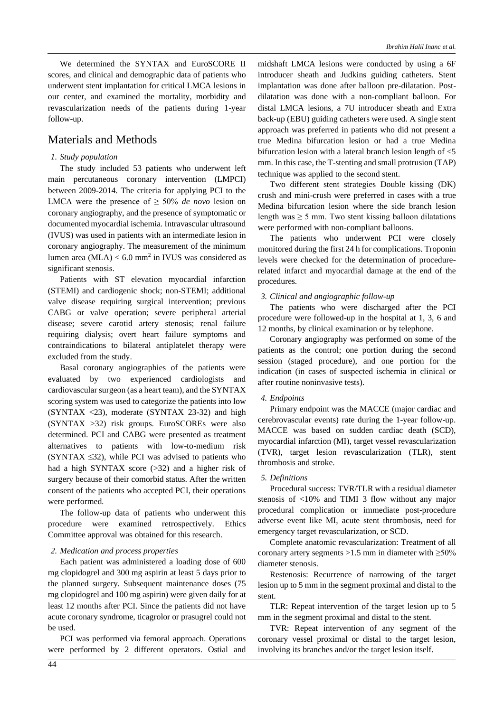We determined the SYNTAX and EuroSCORE II scores, and clinical and demographic data of patients who underwent stent implantation for critical LMCA lesions in our center, and examined the mortality, morbidity and revascularization needs of the patients during 1-year follow-up.

## Materials and Methods

### *1. Study population*

The study included 53 patients who underwent left main percutaneous coronary intervention (LMPCI) between 2009-2014. The criteria for applying PCI to the LMCA were the presence of  $\geq 50\%$  *de novo* lesion on coronary angiography, and the presence of symptomatic or documented myocardial ischemia. Intravascular ultrasound (IVUS) was used in patients with an intermediate lesion in coronary angiography. The measurement of the minimum lumen area  $(MLA) < 6.0$  mm<sup>2</sup> in IVUS was considered as significant stenosis.

Patients with ST elevation myocardial infarction (STEMI) and cardiogenic shock; non-STEMI; additional valve disease requiring surgical intervention; previous CABG or valve operation; severe peripheral arterial disease; severe carotid artery stenosis; renal failure requiring dialysis; overt heart failure symptoms and contraindications to bilateral antiplatelet therapy were excluded from the study.

Basal coronary angiographies of the patients were evaluated by two experienced cardiologists and cardiovascular surgeon (as a heart team), and the SYNTAX scoring system was used to categorize the patients into low  $(SYNTAX < 23)$ , moderate  $(SYNTAX 23-32)$  and high (SYNTAX >32) risk groups. EuroSCOREs were also determined. PCI and CABG were presented as treatment alternatives to patients with low-to-medium risk (SYNTAX  $\leq$ 32), while PCI was advised to patients who had a high SYNTAX score (>32) and a higher risk of surgery because of their comorbid status. After the written consent of the patients who accepted PCI, their operations were performed.

The follow-up data of patients who underwent this procedure were examined retrospectively. Ethics Committee approval was obtained for this research.

#### *2. Medication and process properties*

Each patient was administered a loading dose of 600 mg clopidogrel and 300 mg aspirin at least 5 days prior to the planned surgery. Subsequent maintenance doses (75 mg clopidogrel and 100 mg aspirin) were given daily for at least 12 months after PCI. Since the patients did not have acute coronary syndrome, ticagrolor or prasugrel could not be used.

PCI was performed via femoral approach. Operations were performed by 2 different operators. Ostial and

midshaft LMCA lesions were conducted by using a 6F introducer sheath and Judkins guiding catheters. Stent implantation was done after balloon pre-dilatation. Postdilatation was done with a non-compliant balloon. For distal LMCA lesions, a 7U introducer sheath and Extra back-up (EBU) guiding catheters were used. A single stent approach was preferred in patients who did not present a true Medina bifurcation lesion or had a true Medina bifurcation lesion with a lateral branch lesion length of <5 mm. In this case, the T-stenting and small protrusion (TAP) technique was applied to the second stent.

Two different stent strategies Double kissing (DK) crush and mini-crush were preferred in cases with a true Medina bifurcation lesion where the side branch lesion length was  $\geq$  5 mm. Two stent kissing balloon dilatations were performed with non-compliant balloons.

The patients who underwent PCI were closely monitored during the first 24 h for complications. Troponin levels were checked for the determination of procedurerelated infarct and myocardial damage at the end of the procedures.

#### *3. Clinical and angiographic follow-up*

The patients who were discharged after the PCI procedure were followed-up in the hospital at 1, 3, 6 and 12 months, by clinical examination or by telephone.

Coronary angiography was performed on some of the patients as the control; one portion during the second session (staged procedure), and one portion for the indication (in cases of suspected ischemia in clinical or after routine noninvasive tests).

#### *4. Endpoints*

Primary endpoint was the MACCE (major cardiac and cerebrovascular events) rate during the 1-year follow-up. MACCE was based on sudden cardiac death (SCD), myocardial infarction (MI), target vessel revascularization (TVR), target lesion revascularization (TLR), stent thrombosis and stroke.

#### *5. Definitions*

Procedural success: TVR/TLR with a residual diameter stenosis of <10% and TIMI 3 flow without any major procedural complication or immediate post-procedure adverse event like MI, acute stent thrombosis, need for emergency target revascularization, or SCD.

Complete anatomic revascularization: Treatment of all coronary artery segments >1.5 mm in diameter with  $\geq$ 50% diameter stenosis.

Restenosis: Recurrence of narrowing of the target lesion up to 5 mm in the segment proximal and distal to the stent.

TLR: Repeat intervention of the target lesion up to 5 mm in the segment proximal and distal to the stent.

TVR: Repeat intervention of any segment of the coronary vessel proximal or distal to the target lesion, involving its branches and/or the target lesion itself.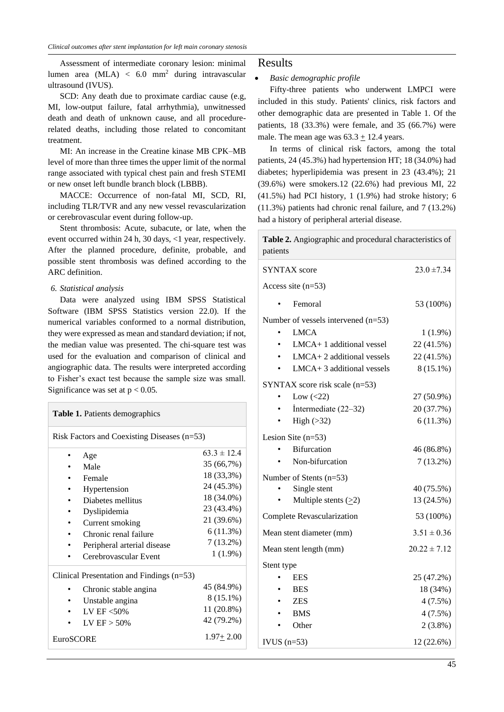Assessment of intermediate coronary lesion: minimal lumen area  $(MLA) < 6.0$  mm<sup>2</sup> during intravascular ultrasound (IVUS).

SCD: Any death due to proximate cardiac cause (e.g, MI, low-output failure, fatal arrhythmia), unwitnessed death and death of unknown cause, and all procedurerelated deaths, including those related to concomitant treatment.

MI: An increase in the Creatine kinase MB CPK–MB level of more than three times the upper limit of the normal range associated with typical chest pain and fresh STEMI or new onset left bundle branch block (LBBB).

MACCE: Occurrence of non-fatal MI, SCD, RI, including TLR/TVR and any new vessel revascularization or cerebrovascular event during follow-up.

Stent thrombosis: Acute, subacute, or late, when the event occurred within 24 h, 30 days, <1 year, respectively. After the planned procedure, definite, probable, and possible stent thrombosis was defined according to the ARC definition.

#### *6. Statistical analysis*

Data were analyzed using IBM SPSS Statistical Software (IBM SPSS Statistics version 22.0). If the numerical variables conformed to a normal distribution, they were expressed as mean and standard deviation; if not, the median value was presented. The chi-square test was used for the evaluation and comparison of clinical and angiographic data. The results were interpreted according to Fisher's exact test because the sample size was small. Significance was set at  $p < 0.05$ .

#### **Table 1.** Patients demographics

Risk Factors and Coexisting Diseases (n=53)

|                                           | Age                         | $63.3 \pm 12.4$ |  |  |  |  |
|-------------------------------------------|-----------------------------|-----------------|--|--|--|--|
|                                           | Male                        | 35 (66,7%)      |  |  |  |  |
|                                           | Female                      | 18 (33,3%)      |  |  |  |  |
|                                           | Hypertension                | 24 (45.3%)      |  |  |  |  |
|                                           | Diabetes mellitus           | 18 (34.0%)      |  |  |  |  |
|                                           | Dyslipidemia                | 23 (43.4%)      |  |  |  |  |
|                                           | Current smoking             | 21 (39.6%)      |  |  |  |  |
|                                           | Chronic renal failure       | 6(11.3%)        |  |  |  |  |
|                                           | Peripheral arterial disease | $7(13.2\%)$     |  |  |  |  |
|                                           | Cerebrovascular Event       | $1(1.9\%)$      |  |  |  |  |
| Clinical Presentation and Findings (n=53) |                             |                 |  |  |  |  |
|                                           | Chronic stable angina       | 45 (84.9%)      |  |  |  |  |
|                                           | Unstable angina             | 8 (15.1%)       |  |  |  |  |
|                                           | LV EF $<$ 50%               | 11 (20.8%)      |  |  |  |  |
|                                           | LV $EF > 50\%$              | 42 (79.2%)      |  |  |  |  |
| <b>EuroSCORE</b>                          | $1.97 + 2.00$               |                 |  |  |  |  |

### Results

#### • *Basic demographic profile*

Fifty-three patients who underwent LMPCI were included in this study. Patients' clinics, risk factors and other demographic data are presented in Table 1. Of the patients, 18 (33.3%) were female, and 35 (66.7%) were male. The mean age was  $63.3 \pm 12.4$  years.

In terms of clinical risk factors, among the total patients, 24 (45.3%) had hypertension HT; 18 (34.0%) had diabetes; hyperlipidemia was present in 23 (43.4%); 21 (39.6%) were smokers.12 (22.6%) had previous MI, 22 (41.5%) had PCI history, 1 (1.9%) had stroke history; 6 (11.3%) patients had chronic renal failure, and 7 (13.2%) had a history of peripheral arterial disease.

| Table 2. Angiographic and procedural characteristics of<br>patients |                  |  |  |  |  |  |
|---------------------------------------------------------------------|------------------|--|--|--|--|--|
| <b>SYNTAX</b> score                                                 | $23.0 \pm 7.34$  |  |  |  |  |  |
| Access site $(n=53)$                                                |                  |  |  |  |  |  |
| Femoral                                                             | 53 (100%)        |  |  |  |  |  |
| Number of vessels intervened $(n=53)$                               |                  |  |  |  |  |  |
| <b>LMCA</b>                                                         | $1(1.9\%)$       |  |  |  |  |  |
| LMCA+1 additional vessel                                            | 22 (41.5%)       |  |  |  |  |  |
| $LMCA + 2$ additional vessels                                       | 22 (41.5%)       |  |  |  |  |  |
| $LMCA+3$ additional vessels                                         | $8(15.1\%)$      |  |  |  |  |  |
| SYNTAX score risk scale $(n=53)$                                    |                  |  |  |  |  |  |
| Low $(\leq 22)$                                                     | 27 (50.9%)       |  |  |  |  |  |
| Intermediate $(22-32)$                                              | 20 (37.7%)       |  |  |  |  |  |
| High $(>32)$                                                        | 6(11.3%)         |  |  |  |  |  |
| Lesion Site $(n=53)$                                                |                  |  |  |  |  |  |
| <b>Bifurcation</b>                                                  | 46 (86.8%)       |  |  |  |  |  |
| Non-bifurcation                                                     | $7(13.2\%)$      |  |  |  |  |  |
| Number of Stents $(n=53)$                                           |                  |  |  |  |  |  |
| Single stent                                                        | 40 (75.5%)       |  |  |  |  |  |
| Multiple stents $(\geq 2)$                                          | 13 (24.5%)       |  |  |  |  |  |
| Complete Revascularization                                          | 53 (100%)        |  |  |  |  |  |
| Mean stent diameter (mm)                                            | $3.51 \pm 0.36$  |  |  |  |  |  |
| Mean stent length (mm)                                              | $20.22 \pm 7.12$ |  |  |  |  |  |
| Stent type                                                          |                  |  |  |  |  |  |
| <b>EES</b>                                                          | 25 (47.2%)       |  |  |  |  |  |
| <b>BES</b>                                                          | 18 (34%)         |  |  |  |  |  |
| <b>ZES</b>                                                          | $4(7.5\%)$       |  |  |  |  |  |
| <b>BMS</b>                                                          | 4(7.5%)          |  |  |  |  |  |
| Other                                                               | $2(3.8\%)$       |  |  |  |  |  |
| IVUS $(n=53)$                                                       | 12 (22.6%)       |  |  |  |  |  |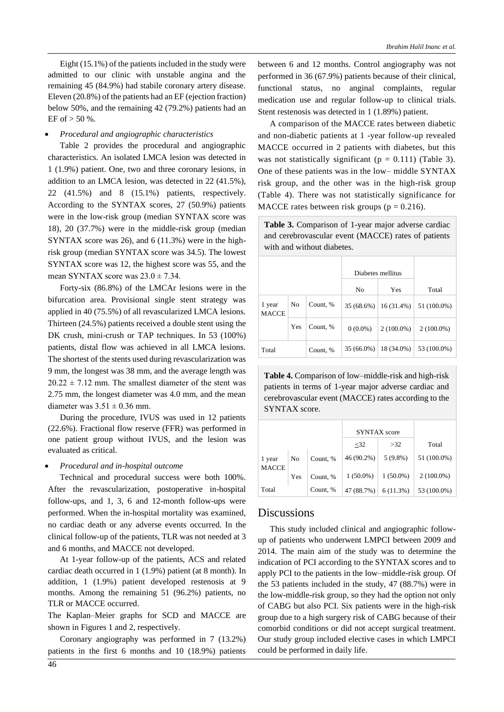Eight (15.1%) of the patients included in the study were admitted to our clinic with unstable angina and the remaining 45 (84.9%) had stabile coronary artery disease. Eleven (20.8%) of the patients had an EF (ejection fraction) below 50%, and the remaining 42 (79.2%) patients had an EF of  $> 50$  %.

#### • *Procedural and angiographic characteristics*

Table 2 provides the procedural and angiographic characteristics. An isolated LMCA lesion was detected in 1 (1.9%) patient. One, two and three coronary lesions, in addition to an LMCA lesion, was detected in 22 (41.5%), 22 (41.5%) and 8 (15.1%) patients, respectively. According to the SYNTAX scores, 27 (50.9%) patients were in the low-risk group (median SYNTAX score was 18), 20 (37.7%) were in the middle-risk group (median SYNTAX score was 26), and 6 (11.3%) were in the highrisk group (median SYNTAX score was 34.5). The lowest SYNTAX score was 12, the highest score was 55, and the mean SYNTAX score was  $23.0 \pm 7.34$ .

Forty-six (86.8%) of the LMCAr lesions were in the bifurcation area. Provisional single stent strategy was applied in 40 (75.5%) of all revascularized LMCA lesions. Thirteen (24.5%) patients received a double stent using the DK crush, mini-crush or TAP techniques. In 53 (100%) patients, distal flow was achieved in all LMCA lesions. The shortest of the stents used during revascularization was 9 mm, the longest was 38 mm, and the average length was  $20.22 \pm 7.12$  mm. The smallest diameter of the stent was 2.75 mm, the longest diameter was 4.0 mm, and the mean diameter was  $3.51 \pm 0.36$  mm.

During the procedure, IVUS was used in 12 patients (22.6%). Fractional flow reserve (FFR) was performed in one patient group without IVUS, and the lesion was evaluated as critical.

#### • *Procedural and in-hospital outcome*

Technical and procedural success were both 100%. After the revascularization, postoperative in-hospital follow-ups, and 1, 3, 6 and 12-month follow-ups were performed. When the in-hospital mortality was examined, no cardiac death or any adverse events occurred. In the clinical follow-up of the patients, TLR was not needed at 3 and 6 months, and MACCE not developed.

At 1-year follow-up of the patients, ACS and related cardiac death occurred in 1 (1.9%) patient (at 8 month). In addition, 1 (1.9%) patient developed restenosis at 9 months. Among the remaining 51 (96.2%) patients, no TLR or MACCE occurred.

The Kaplan–Meier graphs for SCD and MACCE are shown in Figures 1 and 2, respectively.

Coronary angiography was performed in 7 (13.2%) patients in the first 6 months and 10 (18.9%) patients between 6 and 12 months. Control angiography was not performed in 36 (67.9%) patients because of their clinical, functional status, no anginal complaints, regular medication use and regular follow-up to clinical trials. Stent restenosis was detected in 1 (1.89%) patient.

A comparison of the MACCE rates between diabetic and non-diabetic patients at 1 -year follow-up revealed MACCE occurred in 2 patients with diabetes, but this was not statistically significant ( $p = 0.111$ ) (Table 3). One of these patients was in the low– middle SYNTAX risk group, and the other was in the high-risk group (Table 4). There was not statistically significance for MACCE rates between risk groups ( $p = 0.216$ ).

**Table 3.** Comparison of 1-year major adverse cardiac and cerebrovascular event (MACCE) rates of patients with and without diabetes.

|                        |                |          | Diabetes mellitus |              |              |
|------------------------|----------------|----------|-------------------|--------------|--------------|
|                        |                |          | No                | Yes          | Total        |
| 1 year<br><b>MACCE</b> | N <sub>0</sub> | Count, % | 35 (68.6%)        | 16(31.4%)    | 51 (100.0%)  |
|                        | Yes            | Count, % | $0(0.0\%)$        | $2(100.0\%)$ | $2(100.0\%)$ |
| Total                  |                | Count, % | 35 (66.0%)        | 18 (34.0%)   | 53 (100.0%)  |

**Table 4.** Comparison of low–middle-risk and high-risk patients in terms of 1-year major adverse cardiac and cerebrovascular event (MACCE) rates according to the SYNTAX score.

|                        |     |          | <b>SYNTAX</b> score |             |              |
|------------------------|-----|----------|---------------------|-------------|--------------|
|                        |     |          | $<$ 32              | >32         | Total        |
| 1 year<br><b>MACCE</b> | No  | Count, % | 46 (90.2%)          | $5(9.8\%)$  | 51 (100.0%)  |
|                        | Yes | Count, % | $1(50.0\%)$         | $1(50.0\%)$ | $2(100.0\%)$ |
| Total                  |     | Count, % | 47 (88.7%)          | 6(11.3%)    | 53 (100.0%)  |

### Discussions

This study included clinical and angiographic followup of patients who underwent LMPCI between 2009 and 2014. The main aim of the study was to determine the indication of PCI according to the SYNTAX scores and to apply PCI to the patients in the low–middle-risk group. Of the 53 patients included in the study, 47 (88.7%) were in the low-middle-risk group, so they had the option not only of CABG but also PCI. Six patients were in the high-risk group due to a high surgery risk of CABG because of their comorbid conditions or did not accept surgical treatment. Our study group included elective cases in which LMPCI could be performed in daily life.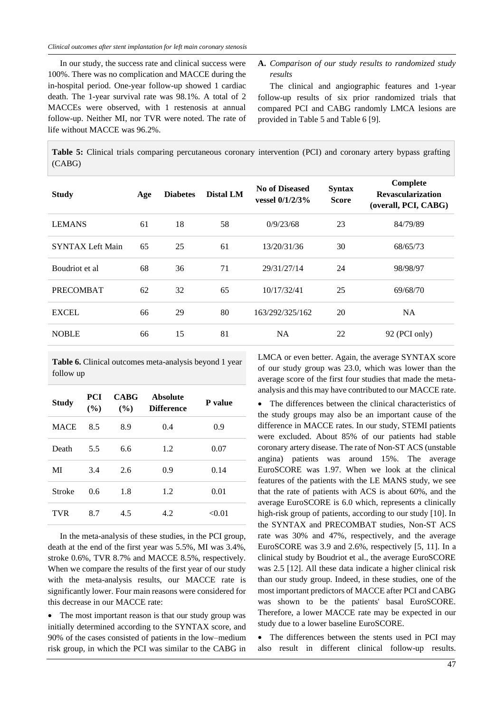In our study, the success rate and clinical success were 100%. There was no complication and MACCE during the in-hospital period. One-year follow-up showed 1 cardiac death. The 1-year survival rate was 98.1%. A total of 2 MACCEs were observed, with 1 restenosis at annual follow-up. Neither MI, nor TVR were noted. The rate of life without MACCE was 96.2%.

**A.** *Comparison of our study results to randomized study results*

The clinical and angiographic features and 1-year follow-up results of six prior randomized trials that compared PCI and CABG randomly LMCA lesions are provided in Table 5 and Table 6 [9].

**Table 5:** Clinical trials comparing percutaneous coronary intervention (PCI) and coronary artery bypass grafting (CABG)

| <b>Study</b>            | Age | <b>Diabetes</b> | <b>Distal LM</b> | <b>No of Diseased</b><br>vessel $0/1/2/3%$ | <b>Syntax</b><br><b>Score</b> | Complete<br><b>Revascularization</b><br>(overall, PCI, CABG) |
|-------------------------|-----|-----------------|------------------|--------------------------------------------|-------------------------------|--------------------------------------------------------------|
| <b>LEMANS</b>           | 61  | 18              | 58               | 0/9/23/68                                  | 23                            | 84/79/89                                                     |
| <b>SYNTAX Left Main</b> | 65  | 25              | 61               | 13/20/31/36                                | 30                            | 68/65/73                                                     |
| Boudriot et al          | 68  | 36              | 71               | 29/31/27/14                                | 24                            | 98/98/97                                                     |
| <b>PRECOMBAT</b>        | 62  | 32              | 65               | 10/17/32/41                                | 25                            | 69/68/70                                                     |
| <b>EXCEL</b>            | 66  | 29              | 80               | 163/292/325/162                            | 20                            | <b>NA</b>                                                    |
| <b>NOBLE</b>            | 66  | 15              | 81               | <b>NA</b>                                  | 22                            | 92 (PCI only)                                                |

**Table 6.** Clinical outcomes meta-analysis beyond 1 year follow up

| <b>Study</b> | PCI.<br>(%) | <b>CABG</b><br>(%) | <b>Absolute</b><br><b>Difference</b> | P value |
|--------------|-------------|--------------------|--------------------------------------|---------|
| <b>MACE</b>  | 8.5         | 8.9                | 0.4                                  | 0.9     |
| Death        | 5.5         | 6.6                | 1.2                                  | 0.07    |
| MI           | 3.4         | 2.6                | 0.9                                  | 0.14    |
| Stroke       | 0.6         | 1.8                | 1.2                                  | 0.01    |
| <b>TVR</b>   | 8.7         | 4.5                | 4.2                                  | < 0.01  |

In the meta-analysis of these studies, in the PCI group, death at the end of the first year was 5.5%, MI was 3.4%, stroke 0.6%, TVR 8.7% and MACCE 8.5%, respectively. When we compare the results of the first year of our study with the meta-analysis results, our MACCE rate is significantly lower. Four main reasons were considered for this decrease in our MACCE rate:

• The most important reason is that our study group was initially determined according to the SYNTAX score, and 90% of the cases consisted of patients in the low–medium risk group, in which the PCI was similar to the CABG in LMCA or even better. Again, the average SYNTAX score of our study group was 23.0, which was lower than the average score of the first four studies that made the metaanalysis and this may have contributed to our MACCE rate.

• The differences between the clinical characteristics of the study groups may also be an important cause of the difference in MACCE rates. In our study, STEMI patients were excluded. About 85% of our patients had stable coronary artery disease. The rate of Non-ST ACS (unstable angina) patients was around 15%. The average EuroSCORE was 1.97. When we look at the clinical features of the patients with the LE MANS study, we see that the rate of patients with ACS is about 60%, and the average EuroSCORE is 6.0 which, represents a clinically high-risk group of patients, according to our study [10]. In the SYNTAX and PRECOMBAT studies, Non-ST ACS rate was 30% and 47%, respectively, and the average EuroSCORE was 3.9 and 2.6%, respectively [5, 11]. In a clinical study by Boudriot et al., the average EuroSCORE was 2.5 [12]. All these data indicate a higher clinical risk than our study group. Indeed, in these studies, one of the most important predictors of MACCE after PCI and CABG was shown to be the patients' basal EuroSCORE. Therefore, a lower MACCE rate may be expected in our study due to a lower baseline EuroSCORE.

• The differences between the stents used in PCI may also result in different clinical follow-up results.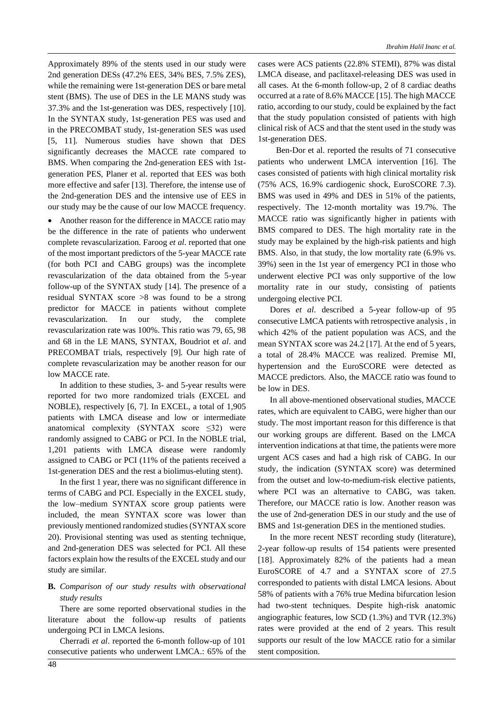Approximately 89% of the stents used in our study were 2nd generation DESs (47.2% EES, 34% BES, 7.5% ZES), while the remaining were 1st-generation DES or bare metal stent (BMS). The use of DES in the LE MANS study was 37.3% and the 1st-generation was DES, respectively [10]. In the SYNTAX study, 1st-generation PES was used and in the PRECOMBAT study, 1st-generation SES was used [5, 11]. Numerous studies have shown that DES significantly decreases the MACCE rate compared to BMS. When comparing the 2nd-generation EES with 1stgeneration PES, Planer et al. reported that EES was both more effective and safer [13]. Therefore, the intense use of the 2nd-generation DES and the intensive use of EES in our study may be the cause of our low MACCE frequency.

• Another reason for the difference in MACCE ratio may be the difference in the rate of patients who underwent complete revascularization. Faroog *et al*. reported that one of the most important predictors of the 5-year MACCE rate (for both PCI and CABG groups) was the incomplete revascularization of the data obtained from the 5-year follow-up of the SYNTAX study [14]. The presence of a residual SYNTAX score >8 was found to be a strong predictor for MACCE in patients without complete revascularization. In our study, the complete revascularization rate was 100%. This ratio was 79, 65, 98 and 68 in the LE MANS, SYNTAX, Boudriot et *al*. and PRECOMBAT trials, respectively [9]. Our high rate of complete revascularization may be another reason for our low MACCE rate.

In addition to these studies, 3- and 5-year results were reported for two more randomized trials (EXCEL and NOBLE), respectively [6, 7]. In EXCEL, a total of 1,905 patients with LMCA disease and low or intermediate anatomical complexity (SYNTAX score  $\leq 32$ ) were randomly assigned to CABG or PCI. In the NOBLE trial, 1,201 patients with LMCA disease were randomly assigned to CABG or PCI (11% of the patients received a 1st-generation DES and the rest a biolimus-eluting stent).

In the first 1 year, there was no significant difference in terms of CABG and PCI. Especially in the EXCEL study, the low–medium SYNTAX score group patients were included, the mean SYNTAX score was lower than previously mentioned randomized studies (SYNTAX score 20). Provisional stenting was used as stenting technique, and 2nd-generation DES was selected for PCI. All these factors explain how the results of the EXCEL study and our study are similar.

### **B.** *Comparison of our study results with observational study results*

There are some reported observational studies in the literature about the follow-up results of patients undergoing PCI in LMCA lesions.

Cherradi *et al*. reported the 6-month follow-up of 101 consecutive patients who underwent LMCA.: 65% of the cases were ACS patients (22.8% STEMI), 87% was distal LMCA disease, and paclitaxel-releasing DES was used in all cases. At the 6-month follow-up, 2 of 8 cardiac deaths occurred at a rate of 8.6% MACCE [15]. The high MACCE ratio, according to our study, could be explained by the fact that the study population consisted of patients with high clinical risk of ACS and that the stent used in the study was 1st-generation DES.

Ben-Dor et al. reported the results of 71 consecutive patients who underwent LMCA intervention [16]. The cases consisted of patients with high clinical mortality risk (75% ACS, 16.9% cardiogenic shock, EuroSCORE 7.3). BMS was used in 49% and DES in 51% of the patients, respectively. The 12-month mortality was 19.7%. The MACCE ratio was significantly higher in patients with BMS compared to DES. The high mortality rate in the study may be explained by the high-risk patients and high BMS. Also, in that study, the low mortality rate (6.9% vs. 39%) seen in the 1st year of emergency PCI in those who underwent elective PCI was only supportive of the low mortality rate in our study, consisting of patients undergoing elective PCI.

Dores *et al*. described a 5-year follow-up of 95 consecutive LMCA patients with retrospective analysis , in which 42% of the patient population was ACS, and the mean SYNTAX score was 24.2 [17]. At the end of 5 years, a total of 28.4% MACCE was realized. Premise MI, hypertension and the EuroSCORE were detected as MACCE predictors. Also, the MACCE ratio was found to be low in DES.

In all above-mentioned observational studies, MACCE rates, which are equivalent to CABG, were higher than our study. The most important reason for this difference is that our working groups are different. Based on the LMCA intervention indications at that time, the patients were more urgent ACS cases and had a high risk of CABG. In our study, the indication (SYNTAX score) was determined from the outset and low-to-medium-risk elective patients, where PCI was an alternative to CABG, was taken. Therefore, our MACCE ratio is low. Another reason was the use of 2nd-generation DES in our study and the use of BMS and 1st-generation DES in the mentioned studies.

In the more recent NEST recording study (literature), 2-year follow-up results of 154 patients were presented [18]. Approximately 82% of the patients had a mean EuroSCORE of 4.7 and a SYNTAX score of 27.5 corresponded to patients with distal LMCA lesions. About 58% of patients with a 76% true Medina bifurcation lesion had two-stent techniques. Despite high-risk anatomic angiographic features, low SCD (1.3%) and TVR (12.3%) rates were provided at the end of 2 years. This result supports our result of the low MACCE ratio for a similar stent composition.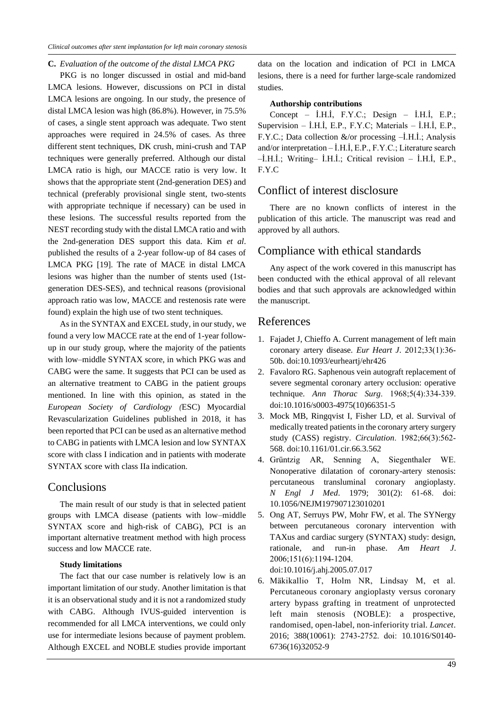#### **C.** *Evaluation of the outcome of the distal LMCA PKG*

PKG is no longer discussed in ostial and mid-band LMCA lesions. However, discussions on PCI in distal LMCA lesions are ongoing. In our study, the presence of distal LMCA lesion was high (86.8%). However, in 75.5% of cases, a single stent approach was adequate. Two stent approaches were required in 24.5% of cases. As three different stent techniques, DK crush, mini-crush and TAP techniques were generally preferred. Although our distal LMCA ratio is high, our MACCE ratio is very low. It shows that the appropriate stent (2nd-generation DES) and technical (preferably provisional single stent, two-stents with appropriate technique if necessary) can be used in these lesions. The successful results reported from the NEST recording study with the distal LMCA ratio and with the 2nd-generation DES support this data. Kim *et al*. published the results of a 2-year follow-up of 84 cases of LMCA PKG [19]. The rate of MACE in distal LMCA lesions was higher than the number of stents used (1stgeneration DES-SES), and technical reasons (provisional approach ratio was low, MACCE and restenosis rate were found) explain the high use of two stent techniques.

As in the SYNTAX and EXCEL study, in our study, we found a very low MACCE rate at the end of 1-year followup in our study group, where the majority of the patients with low–middle SYNTAX score, in which PKG was and CABG were the same. It suggests that PCI can be used as an alternative treatment to CABG in the patient groups mentioned. In line with this opinion, as stated in the *European Society of Cardiology (*ESC) Myocardial Revascularization Guidelines published in 2018, it has been reported that PCI can be used as an alternative method to CABG in patients with LMCA lesion and low SYNTAX score with class I indication and in patients with moderate SYNTAX score with class IIa indication.

### **Conclusions**

The main result of our study is that in selected patient groups with LMCA disease (patients with low–middle SYNTAX score and high-risk of CABG), PCI is an important alternative treatment method with high process success and low MACCE rate.

#### **Study limitations**

The fact that our case number is relatively low is an important limitation of our study. Another limitation is that it is an observational study and it is not a randomized study with CABG. Although IVUS-guided intervention is recommended for all LMCA interventions, we could only use for intermediate lesions because of payment problem. Although EXCEL and NOBLE studies provide important

data on the location and indication of PCI in LMCA lesions, there is a need for further large-scale randomized studies.

#### **Authorship contributions**

Concept – İ.H.İ, F.Y.C.; Design – İ.H.İ, E.P.; Supervision – İ.H.İ, E.P., F.Y.C; Materials – İ.H.İ, E.P., F.Y.C.; Data collection &/or processing –İ.H.İ.; Analysis and/or interpretation – İ.H.İ, E.P., F.Y.C.; Literature search –İ.H.İ.; Writing– İ.H.İ.; Critical revision – İ.H.İ, E.P., F.Y.C

# Conflict of interest disclosure

There are no known conflicts of interest in the publication of this article. The manuscript was read and approved by all authors.

### Compliance with ethical standards

Any aspect of the work covered in this manuscript has been conducted with the ethical approval of all relevant bodies and that such approvals are acknowledged within the manuscript.

### References

- 1. Fajadet J, Chieffo A. Current management of left main coronary artery disease. *Eur Heart J*. 2012;33(1):36‐ 50b. doi:10.1093/eurheartj/ehr426
- 2. Favaloro RG. Saphenous vein autograft replacement of severe segmental coronary artery occlusion: operative technique. *Ann Thorac Surg*. 1968;5(4):334‐339. doi:10.1016/s0003-4975(10)66351-5
- 3. Mock MB, Ringqvist I, Fisher LD, et al. Survival of medically treated patients in the coronary artery surgery study (CASS) registry. *Circulation*. 1982;66(3):562‐ 568. doi:10.1161/01.cir.66.3.562
- 4. Grüntzig AR, Senning A, Siegenthaler WE. Nonoperative dilatation of coronary-artery stenosis: percutaneous transluminal coronary angioplasty. *N Engl J Med*. 1979; 301(2): 61‐68. doi: 10.1056/NEJM197907123010201
- 5. Ong AT, Serruys PW, Mohr FW, et al. The SYNergy between percutaneous coronary intervention with TAXus and cardiac surgery (SYNTAX) study: design, rationale, and run-in phase. *Am Heart J*. 2006;151(6):1194‐1204. doi:10.1016/j.ahj.2005.07.017
- 6. Mäkikallio T, Holm NR, Lindsay M, et al. Percutaneous coronary angioplasty versus coronary artery bypass grafting in treatment of unprotected left main stenosis (NOBLE): a prospective, randomised, open-label, non-inferiority trial. *Lancet*. 2016; 388(10061): 2743‐2752. doi: 10.1016/S0140- 6736(16)32052-9